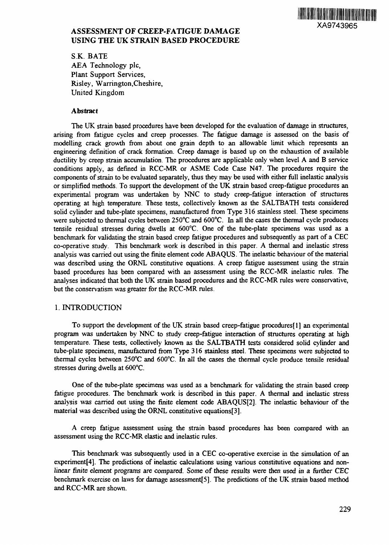

# **ASSESSMENT OF CREEP-FATIGUE DAMAGE USING THE UK STRAIN BASED PROCEDURE**

S.K. BATE AEA Technology pic, Plant Support Services, Risley, Warrington.Cheshire, United Kingdom

### **Abstract**

The UK strain based procedures have been developed for the evaluation of damage in structures, arising from fatigue cycles and creep processes. The fatigue damage is assessed on the basis of modelling crack growth from about one grain depth to an allowable limit which represents an engineering definition of crack formation. Creep damage is based up on the exhaustion of available ductility by creep strain accumulation. The procedures are applicable only when level A and B service conditions apply, as defined in RCC-MR or ASME Code Case N47. The procedures require the components of strain to be evaluated separately, thus they may be used with either full inelastic analysis or simplified methods. To support the development of the UK strain based creep-fatigue procedures an experimental program was undertaken by NNC to study creep-fatigue interaction of structures operating at high temperature. These tests, collectively known as the SALTBATH tests considered solid cylinder and tube-plate specimens, manufactured from Type 316 stainless steel. These specimens were subjected to thermal cycles between 250°C and 600°C. In all the cases the thermal cycle produces tensile residual stresses during dwells at 600°C. One of the tube-plate specimens was used as a benchmark for validating the strain based creep fatigue procedures and subsequently as part of a CEC co-operative study. This benchmark work is described in this paper. A thermal and inelastic stress analysis was carried out using the finite element code ABAQUS. The inelastic behaviour of the material was described using the ORNL constitutive equations. A creep fatigue assessment using the strain based procedures has been compared with an assessment using the RCC-MR inelastic rules. The analyses indicated that both the UK strain based procedures and the RCC-MR rules were conservative, but the conservatism was greater for the RCC-MR rules.

### 1. INTRODUCTION

To support the development of the UK strain based creep-fatigue procedures[l] an experimental program was undertaken by NNC to study creep-fatigue interaction of structures operating at high temperature. These tests, collectively known as the SALTBATH tests considered solid cylinder and tube-plate specimens, manufactured from Type 316 stainless steel. These specimens were subjected to thermal cycles between 250°C and 600°C. In all the cases the thermal cycle produce tensile residual stresses during dwells at 600°C.

One of the tube-plate specimens was used as a benchmark for validating the strain based creep fatigue procedures. The benchmark work is described in this paper. A thermal and inelastic stress analysis was carried out using the finite element code ABAQUS[2]. The inelastic behaviour of the material was described using the ORNL constitutive equations[3].

A creep fatigue assessment using the strain based procedures has been compared with an assessment using the RCC-MR elastic and inelastic rules.

This benchmark was subsequently used in a CEC co-operative exercise in the simulation of an experiment[4]. The predictions of inelastic calculations using various constitutive equations and nonlinear finite element programs are compared. Some of these results were then used in a further CEC benchmark exercise on laws for damage assessment[5]. The predictions of the UK strain based method and RCC-MR are shown.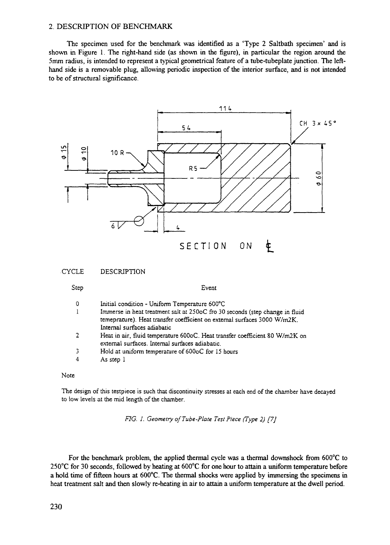#### 2. DESCRIPTION OF BENCHMARK

The specimen used for the benchmark was identified as a 'Type 2 Saltbath specimen' and is shown in Figure 1. The right-hand side (as shown in the figure), in particular the region around the 5mm radius, is intended to represent a typical geometrical feature of a tube-tubeplate junction. The lefthand side is a removable plug, allowing periodic inspection of the interior surface, and is not intended to be of structural significance.



Note

The design of this testpiece is such that discontinuity stresses at each end of the chamber have decayed to low levels at the mid length of the chamber.

*FIG. J. Geometry of Tube-Plate Test Piece (Type 2) [7]*

For the benchmark problem, the applied thermal cycle was a thermal downshock from 600°C to 250°C for 30 seconds, followed by heating at 600°C for one hour to attain a uniform temperature before a hold time of fifteen hours at 600°C. The thermal shocks were applied by immersing the specimens in heat treatment salt and then slowly re-heating in air to attain a uniform temperature at the dwell period.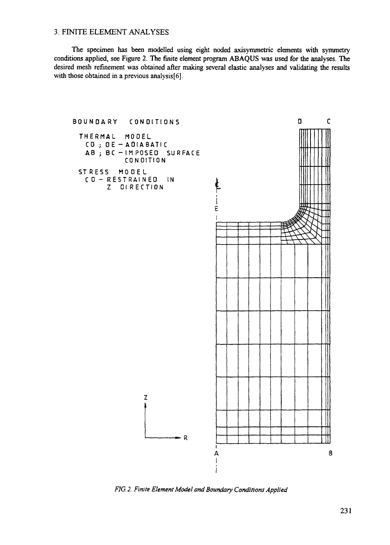## 3. FINITE ELEMENT ANALYSES

The specimen has been modelled using eight noded axisymmetric elements with symmetry conditions applied, see Figure 2. The finite element program ABAQUS was used for the analyses. The desired mesh refinement was obtained after making several elastic analyses and validating the results with those obtained in a previous analysis[6].



*FIG. 2. Finite Element Model and Boundary Conditions Applied*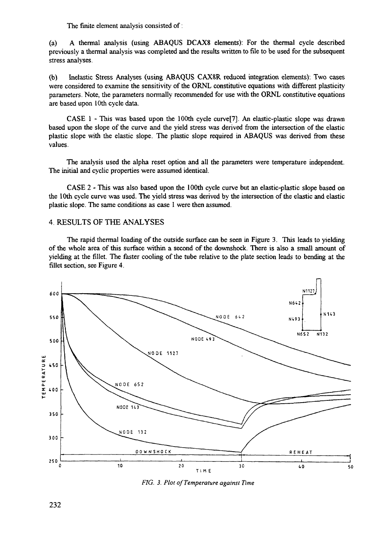The finite element analysis consisted of:

(a) A thermal analysis (using ABAQUS DCAX8 elements): For the thermal cycle described previously a thermal analysis was completed and the results written to file to be used for the subsequent stress analyses.

(b) Inelastic Stress Analyses (using ABAQUS CAX8R reduced integration elements): Two cases were considered to examine the sensitivity of the ORNL constitutive equations with different plasticity parameters. Note, the parameters normally recommended for use with the ORNL constitutive equations are based upon 10th cycle data.

CASE 1 - This was based upon the 100th cycle curve[7]. An elastic-plastic slope was drawn based upon the slope of the curve and the yield stress was derived from the intersection of the elastic plastic slope with the elastic slope. The plastic slope required in ABAQUS was derived from these values.

The analysis used the alpha reset option and all the parameters were temperature independent. The initial and cyclic properties were assumed identical.

CASE 2 - This was also based upon the 100th cycle curve but an elastic-plastic slope based on the 10th cycle curve was used. The yield stress was derived by the intersection of the elastic and elastic plastic slope. The same conditions as case 1 were then assumed.

### 4. RESULTS OF THE ANALYSES

The rapid thermal loading of the outside surface can be seen in Figure 3. This leads to yielding of the whole area of this surface within a second of the downshock. There is also a small amount of yielding at the fillet. The faster cooling of the tube relative to the plate section leads to bending at the fillet section, see Figure 4.



*FIG. 3. Plot of Temperature against Time*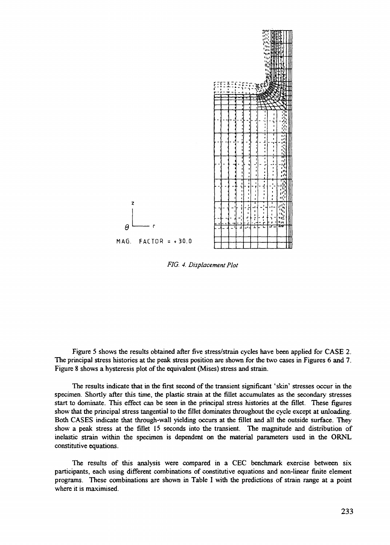

*FIG. 4. Displacement Plot*

Figure 5 shows the results obtained after five stress/strain cycles have been applied for CASE 2. The principal stress histories at the peak stress position are shown for the two cases in Figures 6 and 7. Figure 8 shows a hysteresis plot of the equivalent (Mises) stress and strain.

The results indicate that in the first second of the transient significant 'skin' stresses occur in the specimen. Shortly after this time, the plastic strain at the fillet accumulates as the secondary stresses start to dominate. This effect can be seen in the principal stress histories at the fillet. These figures show that the principal stress tangential to the fillet dominates throughout the cycle except at unloading. Both CASES indicate that through-wall yielding occurs at the fillet and all the outside surface. They show a peak stress at the fillet 15 seconds into the transient. The magnitude and distribution of inelastic strain within the specimen is dependent on the material parameters used in the ORNL constitutive equations.

The results of this analysis were compared in a CEC benchmark exercise between six participants, each using different combinations of constitutive equations and non-linear finite element programs. These combinations are shown in Table I with the predictions of strain range at a point where it is maximised.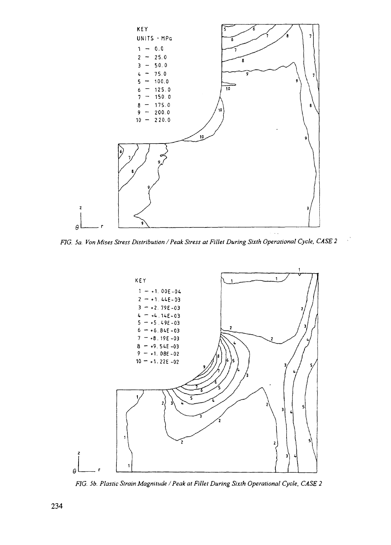

FIG. 5a. Von Mises Stress Distribution / Peak Stress at Fillet During Sixth Operational Cycle, CASE 2

 $\mathcal{C}$ 



FIG. 5b. Plastic Strain Magnitude / Peak at Fillet During Sixth Operational Cycle, CASE 2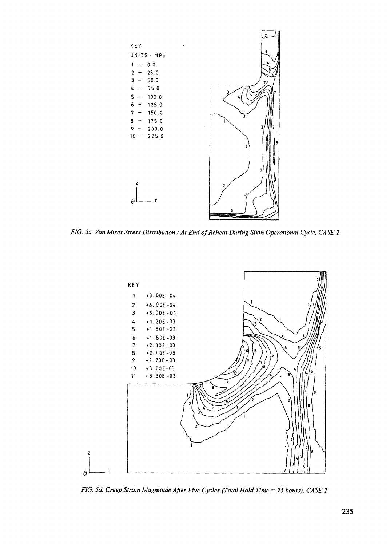

*FIG. 5c. Von Mises Stress Distribution /At End of Reheat During Sixth Operational Cycle, CASE 2*



*FIG. 5d. Creep Strain Magnitude After Five Cycles (Total Hold Time = 75 hours), CASE 2*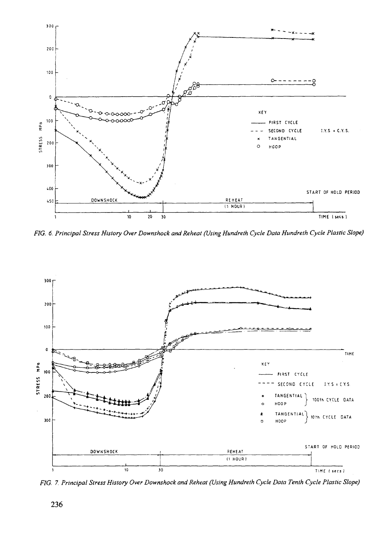

FIG. 6. Principal Stress History Over Downshock and Reheat (Using Hundreth Cycle Data Hundreth Cycle Plastic Slope)



FIG. 7. Principal Stress History Over Downshock and Reheat (Using Hundreth Cycle Data Tenth Cycle Plastic Slope)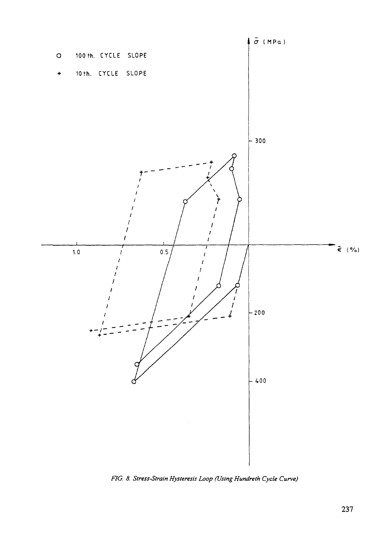

*FIG. 8. Stress-Strain Hysteresis Loop (Using Hundreth Cycle Curve)*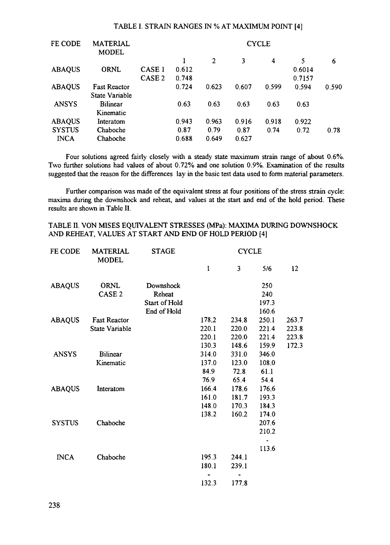#### TABLE I. STRAIN RANGES IN % AT MAXIMUM POINT [4]

| <b>MATERIAL</b><br><b>MODEL</b> |                   | <b>CYCLE</b> |                |       |                         |        |       |  |
|---------------------------------|-------------------|--------------|----------------|-------|-------------------------|--------|-------|--|
|                                 |                   |              | $\overline{2}$ | 3     | $\overline{\mathbf{4}}$ | 5      | 6     |  |
| <b>ORNL</b>                     | CASE <sub>1</sub> | 0.612        |                |       |                         | 0.6014 |       |  |
|                                 | CASE <sub>2</sub> | 0.748        |                |       |                         | 0.7157 |       |  |
| <b>Fast Reactor</b>             |                   | 0.724        | 0.623          | 0.607 | 0.599                   | 0.594  | 0.590 |  |
| State Variable                  |                   |              |                |       |                         |        |       |  |
| <b>Bilinear</b>                 |                   | 0.63         | 0.63           | 0.63  | 0.63                    | 0.63   |       |  |
| Kinematic                       |                   |              |                |       |                         |        |       |  |
| Interatom                       |                   | 0.943        | 0.963          | 0.916 | 0.918                   | 0.922  |       |  |
| Chaboche                        |                   | 0.87         | 0.79           | 0.87  | 0.74                    | 0.72   | 0.78  |  |
| Chaboche                        |                   | 0.688        | 0.649          | 0.627 |                         |        |       |  |
|                                 |                   |              |                |       |                         |        |       |  |

Four solutions agreed fairly closely with a steady state maximum strain range of about 0.6%. Two further solutions had values of about 0.72% and one solution 0.9%. Examination of the results suggested that the reason for the differences lay in the basic test data used to form material parameters.

Further comparison was made of the equivalent stress at four positions of the stress strain cycle: maxima during the downshock and reheat, and values at the start and end of the hold period. These results are shown in Table II.

## TABLE II. VON MISES EQUIVALENT STRESSES (MPa): MAXIMA DURING DOWNSHOCK AND REHEAT, VALUES AT START AND END OF HOLD PERIOD [4]

| FE CODE       | <b>MATERIAL</b><br><b>MODEL</b> | <b>STAGE</b>  | <b>CYCLE</b> |       |       |       |  |
|---------------|---------------------------------|---------------|--------------|-------|-------|-------|--|
|               |                                 |               | I            | 3     | 5/6   | 12    |  |
| <b>ABAQUS</b> | ORNL                            | Downshock     |              |       | 250   |       |  |
|               | CASE <sub>2</sub>               | Reheat        |              |       | 240   |       |  |
|               |                                 | Start of Hold |              |       | 197.3 |       |  |
|               |                                 | End of Hold   |              |       | 160.6 |       |  |
| <b>ABAQUS</b> | <b>Fast Reactor</b>             |               | 178.2        | 234.8 | 250.1 | 263.7 |  |
|               | State Variable                  |               | 220.1        | 220.0 | 221.4 | 223.8 |  |
|               |                                 |               | 220.1        | 220.0 | 221.4 | 223.8 |  |
|               |                                 |               | 130.3        | 148.6 | 159.9 | 172.3 |  |
| <b>ANSYS</b>  | <b>Bilinear</b>                 |               | 314.0        | 331.0 | 346.0 |       |  |
|               | Kinematic                       |               | 137.0        | 123.0 | 108.0 |       |  |
|               |                                 |               | 84.9         | 72.8  | 61.1  |       |  |
|               |                                 |               | 76.9         | 65.4  | 54.4  |       |  |
| <b>ABAQUS</b> | Interatom                       |               | 166.4        | 178.6 | 176.6 |       |  |
|               |                                 |               | 161.0        | 181.7 | 193.3 |       |  |
|               |                                 |               | 148.0        | 170.3 | 184.3 |       |  |
|               |                                 |               | 138.2        | 160.2 | 174.0 |       |  |
| <b>SYSTUS</b> | Chaboche                        |               |              |       | 207.6 |       |  |
|               |                                 |               |              |       | 210.2 |       |  |
|               |                                 |               |              |       | 113.6 |       |  |
| <b>INCA</b>   | Chaboche                        |               | 195.3        | 244.1 |       |       |  |
|               |                                 |               | 180.1        | 239.1 |       |       |  |
|               |                                 |               |              |       |       |       |  |
|               |                                 |               | 132.3        | 177.8 |       |       |  |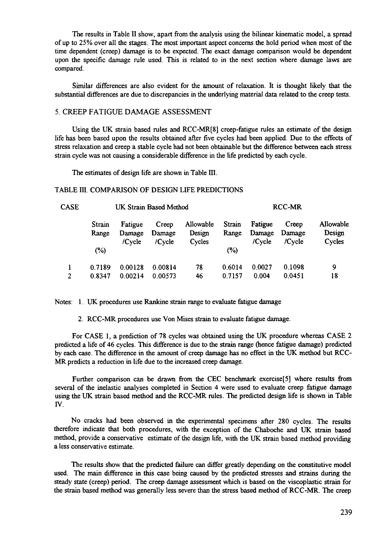The results in Table II show, apart from the analysis using the bilinear kinematic model, a spread of up to 25% over all the stages. The most important aspect concerns the hold period when most of the time dependent (creep) damage is to be expected. The exact damage comparison would be dependent upon the specific damage rule used. This is related to in the next section where damage laws are compared.

Similar differences are also evident for the amount of relaxation. It is thought likely that the substantial differences are due to discrepancies in the underlying material data related to the creep tests.

### 5. CREEP FATIGUE DAMAGE ASSESSMENT

Using the UK strain based rules and RCC-MR[8] creep-fatigue rules an estimate of the design life has been based upon the results obtained after five cycles had been applied. Due to the effects of stress relaxation and creep a stable cycle had not been obtainable but the difference between each stress strain cycle was not causing a considerable difference in the life predicted by each cycle.

The estimates of design life are shown in Table III.

#### TABLE III. COMPARISON OF DESIGN LIFE PREDICTIONS

| CASE | UK Strain Based Method |                   |                 |                     | <b>RCC-MR</b>   |                   |                 |                     |
|------|------------------------|-------------------|-----------------|---------------------|-----------------|-------------------|-----------------|---------------------|
|      | Strain<br>Range        | Fatigue<br>Damage | Creep<br>Damage | Allowable<br>Design | Strain<br>Range | Fatigue<br>Damage | Creep<br>Damage | Allowable<br>Design |
|      | (%)                    | $/C$ vcle         | /Cycle          | Cycles              | (%)             | $/C$ vcle         | /Cycle          | Cycles              |
|      | 0.7189                 | 0.00128           | 0.00814         | 78                  | 0.6014          | 0.0027            | 0.1098          | 9                   |
| 2    | 0.8347                 | 0.00214           | 0.00573         | 46                  | 0.7157          | 0.004             | 0.0451          | 18                  |

Notes: 1. UK procedures use Rankine strain range to evaluate fatigue damage

2. RCC-MR procedures use Von Mises strain to evaluate fatigue damage.

For CASE 1, a prediction of 78 cycles was obtained using the UK procedure whereas CASE 2 predicted a life of 46 cycles. This difference is due to the strain range (hence fatigue damage) predicted by each case. The difference in the amount of creep damage has no effect in the UK method but RCC-MR predicts a reduction in life due to the increased creep damage.

Further comparison can be drawn from the CEC benchmark exercise[5] where results from several of the inelastic analyses completed in Section 4 were used to evaluate creep fatigue damage using the UK strain based method and the RCC-MR rules. The predicted design life is shown in Table IV.

No cracks had been observed in the experimental specimens after 280 cycles. The results therefore indicate that both procedures, with the exception of the Chaboche and UK strain based method, provide a conservative estimate of the design life, with the UK strain based method providing a less conservative estimate.

The results show that the predicted failure can differ greatly depending on the constitutive model used. The main difference in this case being caused by the predicted stresses and strains during the steady state (creep) period. The creep damage assessment which is based on the viscoplastic strain for the strain based method was generally less severe than the stress based method of RCC-MR. The creep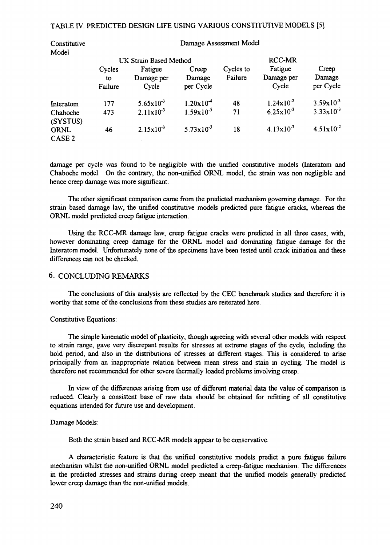#### TABLE IV. PREDICTED DESIGN LIFE USING VARIOUS CONSTITUTIVE MODELS [5]

| Constitutive              |                         | Damage Assessment Model        |                              |                      |                                |                              |  |  |  |
|---------------------------|-------------------------|--------------------------------|------------------------------|----------------------|--------------------------------|------------------------------|--|--|--|
| Model                     |                         | UK Strain Based Method         |                              | <b>RCC-MR</b>        |                                |                              |  |  |  |
|                           | Cycles<br>to<br>Failure | Fatigue<br>Damage per<br>Cycle | Creep<br>Damage<br>per Cycle | Cycles to<br>Failure | Fatigue<br>Damage per<br>Cycle | Creep<br>Damage<br>per Cycle |  |  |  |
| Interatom                 | 177                     | $5.65 \times 10^{-3}$          | $1.20 \times 10^{-4}$        | 48                   | $1.24 \times 10^{-2}$          | $3.59x10^{-3}$               |  |  |  |
| Chaboche<br>(SYSTUS)      | 473                     | $2.11 \times 10^{-3}$          | $1.59 \times 10^{-5}$        | 71                   | $6.25 \times 10^{-3}$          | $3.33 \times 10^{-3}$        |  |  |  |
| ORNL<br>CASE <sub>2</sub> | 46                      | $2.15 \times 10^{-3}$          | $5.73 \times 10^{-3}$        | 18                   | $4.13 \times 10^{-3}$          | $4.51 \times 10^{-2}$        |  |  |  |

damage per cycle was found to be negligible with the unified constitutive models (Interatom and Chaboche model. On the contrary, the non-unified ORNL model, the strain was non negligible and hence creep damage was more significant.

The other significant comparison came from the predicted mechanism governing damage. For the strain based damage law, the unified constitutive models predicted pure fatigue cracks, whereas the ORNL model predicted creep fatigue interaction.

Using the RCC-MR damage law, creep fatigue cracks were predicted in all three cases, with, however dominating creep damage for the ORNL model and dominating fatigue damage for the Interatom model. Unfortunately none of the specimens have been tested until crack initiation and these differences can not be checked.

### 6. CONCLUDING REMARKS

The conclusions of this analysis are reflected by the CEC benchmark studies and therefore it is worthy that some of the conclusions from these studies are reiterated here.

#### Constitutive Equations:

The simple kinematic model of plasticity, though agreeing with several other models with respect to strain range, gave very discrepant results for stresses at extreme stages of the cycle, including the hold period, and also in the distributions of stresses at different stages. This is considered to arise principally from an inappropriate relation between mean stress and stain in cycling. The model is therefore not recommended for other severe thermally loaded problems involving creep.

In view of the differences arising from use of different material data the value of comparison is reduced. Clearly a consistent base of raw data should be obtained for refitting of all constitutive equations intended for future use and development.

#### Damage Models:

Both the strain based and RCC-MR models appear to be conservative.

A characteristic feature is that the unified constitutive models predict a pure fatigue failure mechanism whilst the non-unified ORNL model predicted a creep-fatigue mechanism. The differences in the predicted stresses and strains during creep meant that the unified models generally predicted lower creep damage than the non-unified models.